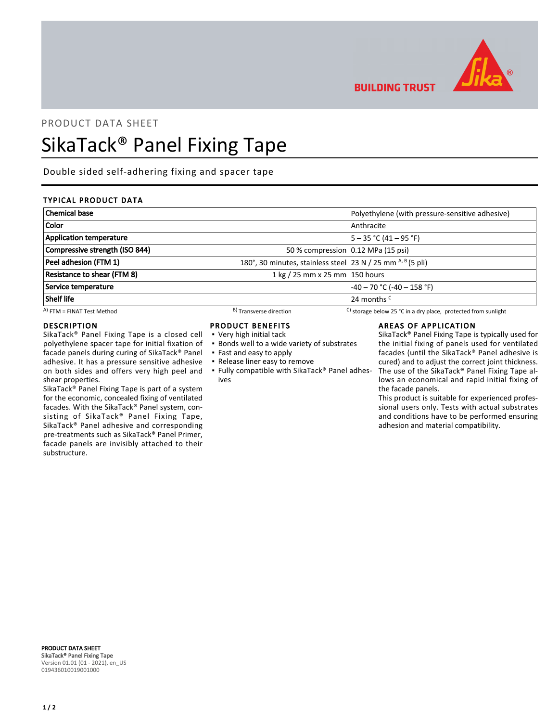

**BUILDING TRUST** 

# PRODUCT DATA SHEET

# SikaTack® Panel Fixing Tape

Double sided self-adhering fixing and spacer tape

# TYPICAL PRODUCT DATA

| <b>Chemical base</b>               |                                                                  | Polyethylene (with pressure-sensitive adhesive)                |
|------------------------------------|------------------------------------------------------------------|----------------------------------------------------------------|
| Color                              |                                                                  | Anthracite                                                     |
| <b>Application temperature</b>     |                                                                  | $5 - 35 °C (41 - 95 °F)$                                       |
| Compressive strength (ISO 844)     | 50 % compression 0.12 MPa (15 psi)                               |                                                                |
| Peel adhesion (FTM 1)              | 180°, 30 minutes, stainless steel 23 N / 25 mm $A$ , $B$ (5 pli) |                                                                |
| <b>Resistance to shear (FTM 8)</b> | 1 kg / 25 mm x 25 mm   150 hours                                 |                                                                |
| Service temperature                |                                                                  | $-40 - 70$ °C (-40 - 158 °F)                                   |
| <b>Shelf life</b>                  |                                                                  | 24 months <sup>C</sup>                                         |
| $(A)$ FTM = FINAT Test Method      | <sup>B</sup> ) Transverse direction                              | C) storage below 25 °C in a dry place, protected from sunlight |

## DESCRIPTION

SikaTack® Panel Fixing Tape is a closed cell polyethylene spacer tape for initial fixation of facade panels during curing of SikaTack® Panel adhesive. It has a pressure sensitive adhesive on both sides and offers very high peel and shear properties.

SikaTack® Panel Fixing Tape is part of a system for the economic, concealed fixing of ventilated facades. With the SikaTack® Panel system, consisting of SikaTack® Panel Fixing Tape, SikaTack® Panel adhesive and corresponding pre-treatments such as SikaTack® Panel Primer, facade panels are invisibly attached to their substructure.

#### PRODUCT BENEFITS

- Very high initial tack
- **.** Bonds well to a wide variety of substrates
- Fast and easy to apply
- Release liner easy to remove
- Fully compatible with SikaTack® Panel adhes-▪ ives

# AREAS OF APPLICATION

SikaTack® Panel Fixing Tape is typically used for the initial fixing of panels used for ventilated facades (until the SikaTack® Panel adhesive is cured) and to adjust the correct joint thickness. The use of the SikaTack® Panel Fixing Tape allows an economical and rapid initial fixing of the facade panels.

This product is suitable for experienced professional users only. Tests with actual substrates and conditions have to be performed ensuring adhesion and material compatibility.

PRODUCT DATA SHEET SikaTack® Panel Fixing Tape Version 01.01 (01 - 2021), en\_US 019436010019001000